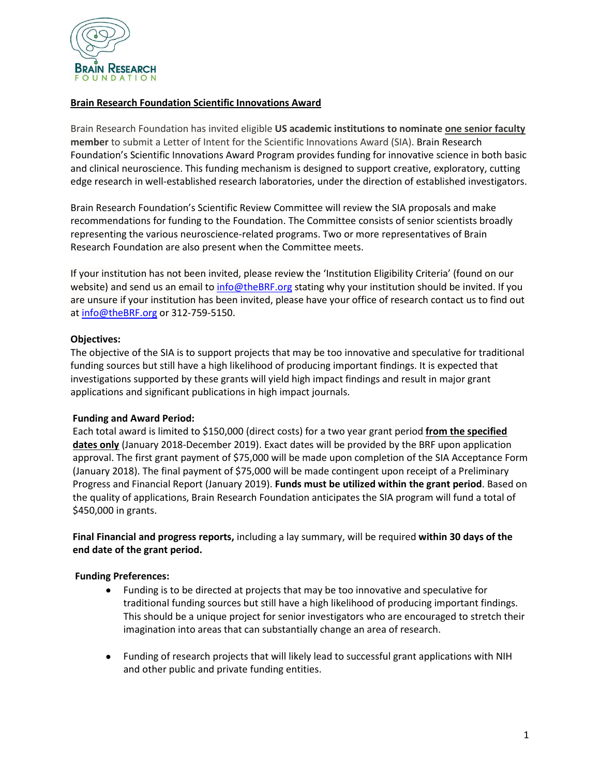

# **Brain Research Foundation Scientific Innovations Award**

Brain Research Foundation has invited eligible **US academic institutions to nominate one senior faculty member** to submit a Letter of Intent for the Scientific Innovations Award (SIA). Brain Research Foundation's Scientific Innovations Award Program provides funding for innovative science in both basic and clinical neuroscience. This funding mechanism is designed to support creative, exploratory, cutting edge research in well-established research laboratories, under the direction of established investigators.

Brain Research Foundation's Scientific Review Committee will review the SIA proposals and make recommendations for funding to the Foundation. The Committee consists of senior scientists broadly representing the various neuroscience-related programs. Two or more representatives of Brain Research Foundation are also present when the Committee meets.

If your institution has not been invited, please review the 'Institution Eligibility Criteria' (found on our website) and send us an email to [info@theBRF.org](mailto:info@theBRF.org) stating why your institution should be invited. If you are unsure if your institution has been invited, please have your office of research contact us to find out at [info@theBRF.org](mailto:info@theBRF.org) or 312-759-5150.

# **Objectives:**

The objective of the SIA is to support projects that may be too innovative and speculative for traditional funding sources but still have a high likelihood of producing important findings. It is expected that investigations supported by these grants will yield high impact findings and result in major grant applications and significant publications in high impact journals.

## **Funding and Award Period:**

Each total award is limited to \$150,000 (direct costs) for a two year grant period **from the specified dates only** (January 2018-December 2019). Exact dates will be provided by the BRF upon application approval. The first grant payment of \$75,000 will be made upon completion of the SIA Acceptance Form (January 2018). The final payment of \$75,000 will be made contingent upon receipt of a Preliminary Progress and Financial Report (January 2019). **Funds must be utilized within the grant period**. Based on the quality of applications, Brain Research Foundation anticipates the SIA program will fund a total of \$450,000 in grants.

**Final Financial and progress reports,** including a lay summary, will be required **within 30 days of the end date of the grant period.**

## **Funding Preferences:**

- Funding is to be directed at projects that may be too innovative and speculative for traditional funding sources but still have a high likelihood of producing important findings. This should be a unique project for senior investigators who are encouraged to stretch their imagination into areas that can substantially change an area of research.
- Funding of research projects that will likely lead to successful grant applications with NIH and other public and private funding entities.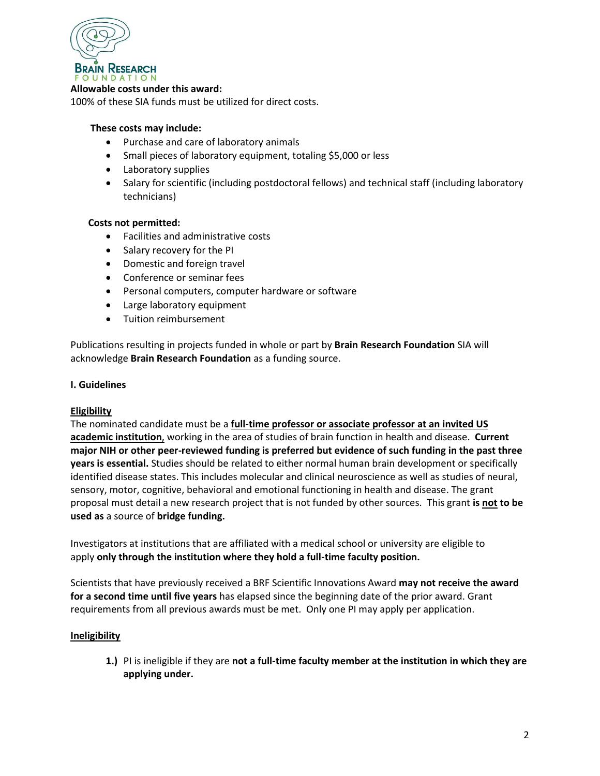

#### **Allowable costs under this award:**

100% of these SIA funds must be utilized for direct costs.

#### **These costs may include:**

- Purchase and care of laboratory animals
- Small pieces of laboratory equipment, totaling \$5,000 or less
- Laboratory supplies
- Salary for scientific (including postdoctoral fellows) and technical staff (including laboratory technicians)

#### **Costs not permitted:**

- Facilities and administrative costs
- Salary recovery for the PI
- Domestic and foreign travel
- Conference or seminar fees
- Personal computers, computer hardware or software
- Large laboratory equipment
- Tuition reimbursement

Publications resulting in projects funded in whole or part by **Brain Research Foundation** SIA will acknowledge **Brain Research Foundation** as a funding source.

#### **I. Guidelines**

## **Eligibility**

The nominated candidate must be a **full-time professor or associate professor at an invited US academic institution**, working in the area of studies of brain function in health and disease. **Current major NIH or other peer-reviewed funding is preferred but evidence of such funding in the past three years is essential.** Studies should be related to either normal human brain development or specifically identified disease states. This includes molecular and clinical neuroscience as well as studies of neural, sensory, motor, cognitive, behavioral and emotional functioning in health and disease. The grant proposal must detail a new research project that is not funded by other sources. This grant **is not to be used as** a source of **bridge funding.**

Investigators at institutions that are affiliated with a medical school or university are eligible to apply **only through the institution where they hold a full-time faculty position.**

Scientists that have previously received a BRF Scientific Innovations Award **may not receive the award for a second time until five years** has elapsed since the beginning date of the prior award. Grant requirements from all previous awards must be met. Only one PI may apply per application.

## **Ineligibility**

**1.)** PI is ineligible if they are **not a full-time faculty member at the institution in which they are applying under.**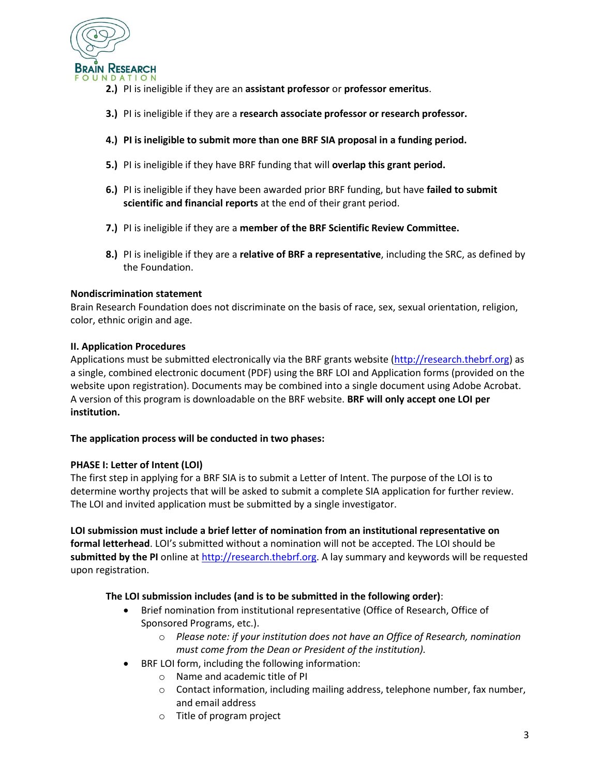

- **2.)** PI is ineligible if they are an **assistant professor** or **professor emeritus**.
- **3.)** PI is ineligible if they are a **research associate professor or research professor.**
- **4.) PI is ineligible to submit more than one BRF SIA proposal in a funding period.**
- **5.)** PI is ineligible if they have BRF funding that will **overlap this grant period.**
- **6.)** PI is ineligible if they have been awarded prior BRF funding, but have **failed to submit scientific and financial reports** at the end of their grant period.
- **7.)** PI is ineligible if they are a **member of the BRF Scientific Review Committee.**
- **8.)** PI is ineligible if they are a **relative of BRF a representative**, including the SRC, as defined by the Foundation.

## **Nondiscrimination statement**

Brain Research Foundation does not discriminate on the basis of race, sex, sexual orientation, religion, color, ethnic origin and age.

## **II. Application Procedures**

Applications must be submitted electronically via the BRF grants website [\(http://research.thebrf.org\)](http://research.thebrf.org/) as a single, combined electronic document (PDF) using the BRF LOI and Application forms (provided on the website upon registration). Documents may be combined into a single document using Adobe Acrobat. A version of this program is downloadable on the BRF website. **BRF will only accept one LOI per institution.**

## **The application process will be conducted in two phases:**

## **PHASE I: Letter of Intent (LOI)**

The first step in applying for a BRF SIA is to submit a Letter of Intent. The purpose of the LOI is to determine worthy projects that will be asked to submit a complete SIA application for further review. The LOI and invited application must be submitted by a single investigator.

**LOI submission must include a brief letter of nomination from an institutional representative on formal letterhead**. LOI's submitted without a nomination will not be accepted. The LOI should be submitted by the PI online at [http://research.thebrf.org.](http://research.thebrf.org/) A lay summary and keywords will be requested upon registration.

## **The LOI submission includes (and is to be submitted in the following order)**:

- Brief nomination from institutional representative (Office of Research, Office of Sponsored Programs, etc.).
	- o *Please note: if your institution does not have an Office of Research, nomination must come from the Dean or President of the institution).*
- BRF LOI form, including the following information:
	- o Name and academic title of PI
	- o Contact information, including mailing address, telephone number, fax number, and email address
	- o Title of program project